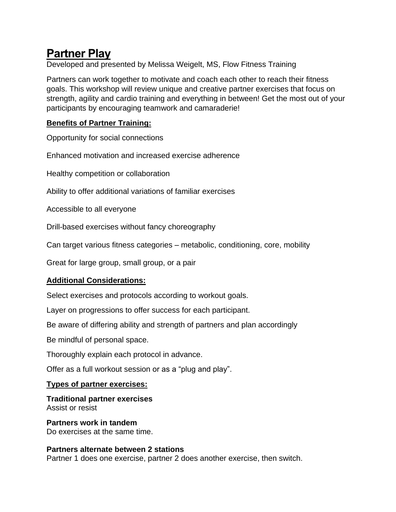# **Partner Play**

Developed and presented by Melissa Weigelt, MS, Flow Fitness Training

Partners can work together to motivate and coach each other to reach their fitness goals. This workshop will review unique and creative partner exercises that focus on strength, agility and cardio training and everything in between! Get the most out of your participants by encouraging teamwork and camaraderie!

# **Benefits of Partner Training:**

Opportunity for social connections

Enhanced motivation and increased exercise adherence

Healthy competition or collaboration

Ability to offer additional variations of familiar exercises

Accessible to all everyone

Drill-based exercises without fancy choreography

Can target various fitness categories – metabolic, conditioning, core, mobility

Great for large group, small group, or a pair

# **Additional Considerations:**

Select exercises and protocols according to workout goals.

Layer on progressions to offer success for each participant.

Be aware of differing ability and strength of partners and plan accordingly

Be mindful of personal space.

Thoroughly explain each protocol in advance.

Offer as a full workout session or as a "plug and play".

#### **Types of partner exercises:**

**Traditional partner exercises** Assist or resist

**Partners work in tandem** Do exercises at the same time.

#### **Partners alternate between 2 stations**

Partner 1 does one exercise, partner 2 does another exercise, then switch.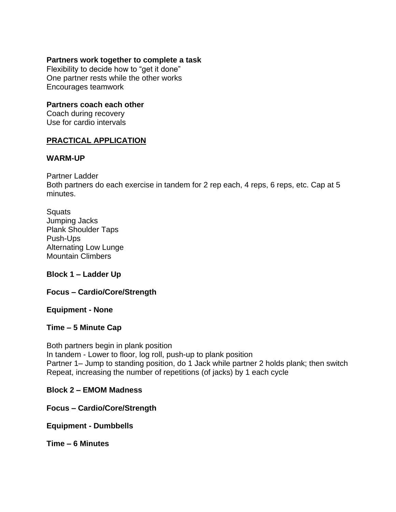#### **Partners work together to complete a task**

Flexibility to decide how to "get it done" One partner rests while the other works Encourages teamwork

## **Partners coach each other**

Coach during recovery Use for cardio intervals

## **PRACTICAL APPLICATION**

#### **WARM-UP**

Partner Ladder

Both partners do each exercise in tandem for 2 rep each, 4 reps, 6 reps, etc. Cap at 5 minutes.

| Squats                       |
|------------------------------|
| Jumping Jacks                |
| <b>Plank Shoulder Taps</b>   |
| Push-Ups                     |
| <b>Alternating Low Lunge</b> |
| <b>Mountain Climbers</b>     |

#### **Block 1 – Ladder Up**

#### **Focus – Cardio/Core/Strength**

#### **Equipment - None**

#### **Time – 5 Minute Cap**

Both partners begin in plank position In tandem - Lower to floor, log roll, push-up to plank position Partner 1– Jump to standing position, do 1 Jack while partner 2 holds plank; then switch Repeat, increasing the number of repetitions (of jacks) by 1 each cycle

#### **Block 2 – EMOM Madness**

**Focus – Cardio/Core/Strength**

**Equipment - Dumbbells**

**Time – 6 Minutes**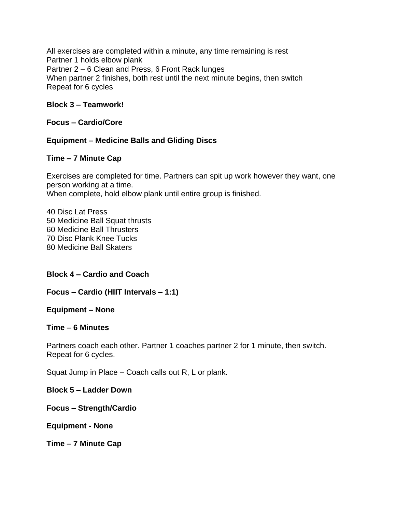All exercises are completed within a minute, any time remaining is rest Partner 1 holds elbow plank Partner 2 – 6 Clean and Press, 6 Front Rack lunges When partner 2 finishes, both rest until the next minute begins, then switch Repeat for 6 cycles

### **Block 3 – Teamwork!**

#### **Focus – Cardio/Core**

# **Equipment – Medicine Balls and Gliding Discs**

#### **Time – 7 Minute Cap**

Exercises are completed for time. Partners can spit up work however they want, one person working at a time. When complete, hold elbow plank until entire group is finished.

40 Disc Lat Press 50 Medicine Ball Squat thrusts 60 Medicine Ball Thrusters 70 Disc Plank Knee Tucks 80 Medicine Ball Skaters

#### **Block 4 – Cardio and Coach**

#### **Focus – Cardio (HIIT Intervals – 1:1)**

#### **Equipment – None**

#### **Time – 6 Minutes**

Partners coach each other. Partner 1 coaches partner 2 for 1 minute, then switch. Repeat for 6 cycles.

Squat Jump in Place – Coach calls out R, L or plank.

**Block 5 – Ladder Down**

**Focus – Strength/Cardio**

**Equipment - None**

**Time – 7 Minute Cap**